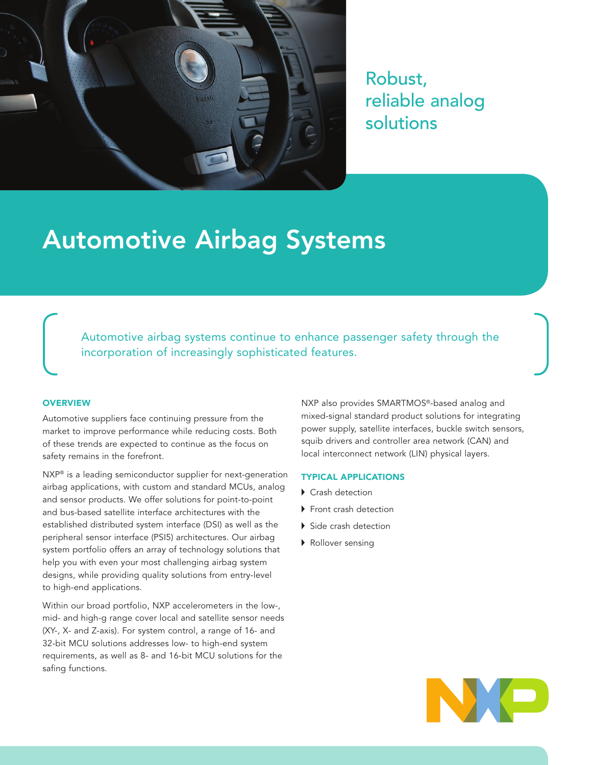

Robust, reliable analog solutions

# Automotive Airbag Systems

Automotive airbag systems continue to enhance passenger safety through the incorporation of increasingly sophisticated features.

### **OVERVIEW**

Automotive suppliers face continuing pressure from the market to improve performance while reducing costs. Both of these trends are expected to continue as the focus on safety remains in the forefront.

NXP<sup>®</sup> is a leading semiconductor supplier for next-generation airbag applications, with custom and standard MCUs, analog and sensor products. We offer solutions for point-to-point and bus-based satellite interface architectures with the established distributed system interface (DSI) as well as the peripheral sensor interface (PSI5) architectures. Our airbag system portfolio offers an array of technology solutions that help you with even your most challenging airbag system designs, while providing quality solutions from entry-level to high-end applications.

Within our broad portfolio, NXP accelerometers in the low-, mid- and high-g range cover local and satellite sensor needs (XY-, X- and Z-axis). For system control, a range of 16- and 32-bit MCU solutions addresses low- to high-end system requirements, as well as 8- and 16-bit MCU solutions for the safing functions.

NXP also provides SMARTMOS®-based analog and mixed-signal standard product solutions for integrating power supply, satellite interfaces, buckle switch sensors, squib drivers and controller area network (CAN) and local interconnect network (LIN) physical layers.

## TYPICAL APPLICATIONS

- ▶ Crash detection
- Front crash detection
- Side crash detection
- Rollover sensing

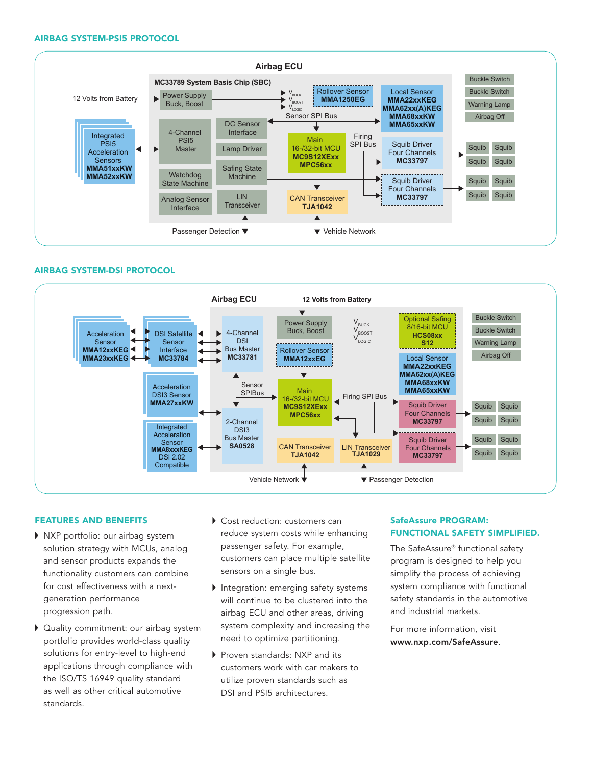#### AIRBAG SYSTEM-PSI5 PROTOCOL



## AIRBAG SYSTEM-DSI PROTOCOL



## FEATURES AND BENEFITS

- $\blacktriangleright$  NXP portfolio: our airbag system solution strategy with MCUs, analog and sensor products expands the functionality customers can combine for cost effectiveness with a nextgeneration performance progression path.
- Quality commitment: our airbag system portfolio provides world-class quality solutions for entry-level to high-end applications through compliance with the ISO/TS 16949 quality standard as well as other critical automotive standards.
- Cost reduction: customers can reduce system costs while enhancing passenger safety. For example, customers can place multiple satellite sensors on a single bus.
- Integration: emerging safety systems will continue to be clustered into the airbag ECU and other areas, driving system complexity and increasing the need to optimize partitioning.
- Proven standards: NXP and its customers work with car makers to utilize proven standards such as DSI and PSI5 architectures.

# SafeAssure PROGRAM: FUNCTIONAL SAFETY SIMPLIFIED.

The SafeAssure® functional safety program is designed to help you simplify the process of achieving system compliance with functional safety standards in the automotive and industrial markets.

For more information, visit www.nxp.com/SafeAssure.